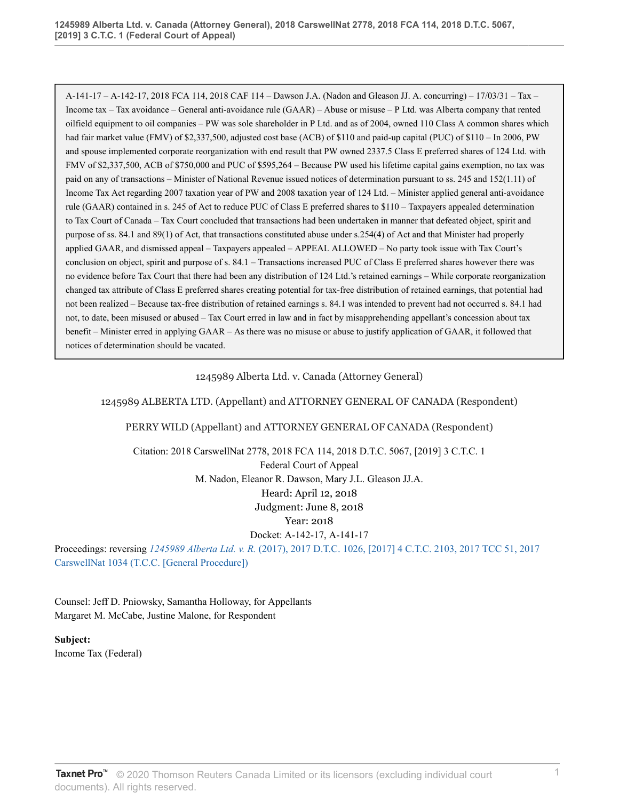A-141-17 – A-142-17, 2018 FCA 114, 2018 CAF 114 – Dawson J.A. (Nadon and Gleason JJ. A. concurring) – 17/03/31 – Tax – Income tax – Tax avoidance – General anti-avoidance rule (GAAR) – Abuse or misuse – P Ltd. was Alberta company that rented oilfield equipment to oil companies – PW was sole shareholder in P Ltd. and as of 2004, owned 110 Class A common shares which had fair market value (FMV) of \$2,337,500, adjusted cost base (ACB) of \$110 and paid-up capital (PUC) of \$110 – In 2006, PW and spouse implemented corporate reorganization with end result that PW owned 2337.5 Class E preferred shares of 124 Ltd. with FMV of \$2,337,500, ACB of \$750,000 and PUC of \$595,264 – Because PW used his lifetime capital gains exemption, no tax was paid on any of transactions – Minister of National Revenue issued notices of determination pursuant to ss. 245 and 152(1.11) of Income Tax Act regarding 2007 taxation year of PW and 2008 taxation year of 124 Ltd. – Minister applied general anti-avoidance rule (GAAR) contained in s. 245 of Act to reduce PUC of Class E preferred shares to \$110 – Taxpayers appealed determination to Tax Court of Canada – Tax Court concluded that transactions had been undertaken in manner that defeated object, spirit and purpose of ss. 84.1 and 89(1) of Act, that transactions constituted abuse under s.254(4) of Act and that Minister had properly applied GAAR, and dismissed appeal – Taxpayers appealed – APPEAL ALLOWED – No party took issue with Tax Court's conclusion on object, spirit and purpose of s. 84.1 – Transactions increased PUC of Class E preferred shares however there was no evidence before Tax Court that there had been any distribution of 124 Ltd.'s retained earnings – While corporate reorganization changed tax attribute of Class E preferred shares creating potential for tax-free distribution of retained earnings, that potential had not been realized – Because tax-free distribution of retained earnings s. 84.1 was intended to prevent had not occurred s. 84.1 had not, to date, been misused or abused – Tax Court erred in law and in fact by misapprehending appellant's concession about tax benefit – Minister erred in applying GAAR – As there was no misuse or abuse to justify application of GAAR, it followed that notices of determination should be vacated.

### 1245989 Alberta Ltd. v. Canada (Attorney General)

#### 1245989 ALBERTA LTD. (Appellant) and ATTORNEY GENERAL OF CANADA (Respondent)

#### PERRY WILD (Appellant) and ATTORNEY GENERAL OF CANADA (Respondent)

Citation: 2018 CarswellNat 2778, 2018 FCA 114, 2018 D.T.C. 5067, [2019] 3 C.T.C. 1

Federal Court of Appeal

M. Nadon, Eleanor R. Dawson, Mary J.L. Gleason JJ.A.

Heard: April 12, 2018

Judgment: June 8, 2018

Year: 2018

Docket: A-142-17, A-141-17

Proceedings: reversing *1245989 Alberta Ltd. v. R.* [\(2017\), 2017 D.T.C. 1026, \[2017\] 4 C.T.C. 2103, 2017 TCC 51, 2017](http://v3.taxnetpro.com/Document/I4cd585f9f7c42576e0540021280d7cce/View/FullText.html?originationContext=document&vr=3.0&rs=cblt1.0&transitionType=DocumentItem&contextData=(sc.Search)) [CarswellNat 1034 \(T.C.C. \[General Procedure\]\)](http://v3.taxnetpro.com/Document/I4cd585f9f7c42576e0540021280d7cce/View/FullText.html?originationContext=document&vr=3.0&rs=cblt1.0&transitionType=DocumentItem&contextData=(sc.Search))

Counsel: Jeff D. Pniowsky, Samantha Holloway, for Appellants Margaret M. McCabe, Justine Malone, for Respondent

**Subject:** Income Tax (Federal)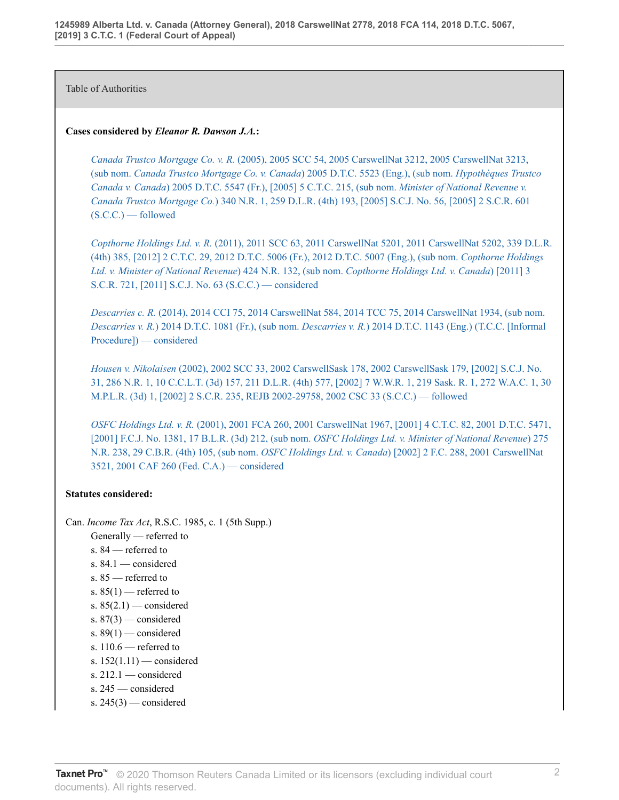Table of Authorities

### **Cases considered by** *Eleanor R. Dawson J.A.***:**

*Canada Trustco Mortgage Co. v. R.* [\(2005\), 2005 SCC 54, 2005 CarswellNat 3212, 2005 CarswellNat 3213,](http://v3.taxnetpro.com/Document/I8d7d939394245dece0440003ba833f85/View/FullText.html?originationContext=document&vr=3.0&rs=cblt1.0&transitionType=DocumentItem&contextData=(sc.Search)) (sub nom. *[Canada Trustco Mortgage Co. v. Canada](http://v3.taxnetpro.com/Document/I8d7d939394245dece0440003ba833f85/View/FullText.html?originationContext=document&vr=3.0&rs=cblt1.0&transitionType=DocumentItem&contextData=(sc.Search))*) 2005 D.T.C. 5523 (Eng.), (sub nom. *Hypothèques Trustco Canada v. Canada*[\) 2005 D.T.C. 5547 \(Fr.\), \[2005\] 5 C.T.C. 215, \(sub nom.](http://v3.taxnetpro.com/Document/I8d7d939394245dece0440003ba833f85/View/FullText.html?originationContext=document&vr=3.0&rs=cblt1.0&transitionType=DocumentItem&contextData=(sc.Search)) *Minister of National Revenue v. Canada Trustco Mortgage Co.*[\) 340 N.R. 1, 259 D.L.R. \(4th\) 193, \[2005\] S.C.J. No. 56, \[2005\] 2 S.C.R. 601](http://v3.taxnetpro.com/Document/I8d7d939394245dece0440003ba833f85/View/FullText.html?originationContext=document&vr=3.0&rs=cblt1.0&transitionType=DocumentItem&contextData=(sc.Search)) [\(S.C.C.\) — followed](http://v3.taxnetpro.com/Document/I8d7d939394245dece0440003ba833f85/View/FullText.html?originationContext=document&vr=3.0&rs=cblt1.0&transitionType=DocumentItem&contextData=(sc.Search))

*Copthorne Holdings Ltd. v. R.* [\(2011\), 2011 SCC 63, 2011 CarswellNat 5201, 2011 CarswellNat 5202, 339 D.L.R.](http://v3.taxnetpro.com/Document/Ib6468171105f07f8e0440021280d79ee/View/FullText.html?originationContext=document&vr=3.0&rs=cblt1.0&transitionType=DocumentItem&contextData=(sc.Search)) [\(4th\) 385, \[2012\] 2 C.T.C. 29, 2012 D.T.C. 5006 \(Fr.\), 2012 D.T.C. 5007 \(Eng.\), \(sub nom.](http://v3.taxnetpro.com/Document/Ib6468171105f07f8e0440021280d79ee/View/FullText.html?originationContext=document&vr=3.0&rs=cblt1.0&transitionType=DocumentItem&contextData=(sc.Search)) *Copthorne Holdings [Ltd. v. Minister of National Revenue](http://v3.taxnetpro.com/Document/Ib6468171105f07f8e0440021280d79ee/View/FullText.html?originationContext=document&vr=3.0&rs=cblt1.0&transitionType=DocumentItem&contextData=(sc.Search))*) 424 N.R. 132, (sub nom. *Copthorne Holdings Ltd. v. Canada*) [2011] 3 [S.C.R. 721, \[2011\] S.C.J. No. 63 \(S.C.C.\) — considered](http://v3.taxnetpro.com/Document/Ib6468171105f07f8e0440021280d79ee/View/FullText.html?originationContext=document&vr=3.0&rs=cblt1.0&transitionType=DocumentItem&contextData=(sc.Search))

*Descarries c. R.* [\(2014\), 2014 CCI 75, 2014 CarswellNat 584, 2014 TCC 75, 2014 CarswellNat 1934, \(sub nom.](http://v3.taxnetpro.com/Document/Ifc466bf567e047d7e0440021280d79ee/View/FullText.html?originationContext=document&vr=3.0&rs=cblt1.0&transitionType=DocumentItem&contextData=(sc.Search)) *Descarries v. R.*) 2014 D.T.C. 1081 (Fr.), (sub nom. *Descarries v. R.*[\) 2014 D.T.C. 1143 \(Eng.\) \(T.C.C. \[Informal](http://v3.taxnetpro.com/Document/Ifc466bf567e047d7e0440021280d79ee/View/FullText.html?originationContext=document&vr=3.0&rs=cblt1.0&transitionType=DocumentItem&contextData=(sc.Search)) [Procedure\]\) — considered](http://v3.taxnetpro.com/Document/Ifc466bf567e047d7e0440021280d79ee/View/FullText.html?originationContext=document&vr=3.0&rs=cblt1.0&transitionType=DocumentItem&contextData=(sc.Search))

*Housen v. Nikolaisen* [\(2002\), 2002 SCC 33, 2002 CarswellSask 178, 2002 CarswellSask 179, \[2002\] S.C.J. No.](http://v3.taxnetpro.com/Document/I17a3d4299a0372cbe0540021280d79ee/View/FullText.html?originationContext=document&vr=3.0&rs=cblt1.0&transitionType=DocumentItem&contextData=(sc.Search)) [31, 286 N.R. 1, 10 C.C.L.T. \(3d\) 157, 211 D.L.R. \(4th\) 577, \[2002\] 7 W.W.R. 1, 219 Sask. R. 1, 272 W.A.C. 1, 30](http://v3.taxnetpro.com/Document/I17a3d4299a0372cbe0540021280d79ee/View/FullText.html?originationContext=document&vr=3.0&rs=cblt1.0&transitionType=DocumentItem&contextData=(sc.Search)) [M.P.L.R. \(3d\) 1, \[2002\] 2 S.C.R. 235, REJB 2002-29758, 2002 CSC 33 \(S.C.C.\) — followed](http://v3.taxnetpro.com/Document/I17a3d4299a0372cbe0540021280d79ee/View/FullText.html?originationContext=document&vr=3.0&rs=cblt1.0&transitionType=DocumentItem&contextData=(sc.Search))

*OSFC Holdings Ltd. v. R.* [\(2001\), 2001 FCA 260, 2001 CarswellNat 1967, \[2001\] 4 C.T.C. 82, 2001 D.T.C. 5471,](http://v3.taxnetpro.com/Document/I8d7d9393e22e5dece0440003ba833f85/View/FullText.html?originationContext=document&vr=3.0&rs=cblt1.0&transitionType=DocumentItem&contextData=(sc.Search)) [\[2001\] F.C.J. No. 1381, 17 B.L.R. \(3d\) 212, \(sub nom.](http://v3.taxnetpro.com/Document/I8d7d9393e22e5dece0440003ba833f85/View/FullText.html?originationContext=document&vr=3.0&rs=cblt1.0&transitionType=DocumentItem&contextData=(sc.Search)) *OSFC Holdings Ltd. v. Minister of National Revenue*) 275 [N.R. 238, 29 C.B.R. \(4th\) 105, \(sub nom.](http://v3.taxnetpro.com/Document/I8d7d9393e22e5dece0440003ba833f85/View/FullText.html?originationContext=document&vr=3.0&rs=cblt1.0&transitionType=DocumentItem&contextData=(sc.Search)) *OSFC Holdings Ltd. v. Canada*) [2002] 2 F.C. 288, 2001 CarswellNat [3521, 2001 CAF 260 \(Fed. C.A.\) — considered](http://v3.taxnetpro.com/Document/I8d7d9393e22e5dece0440003ba833f85/View/FullText.html?originationContext=document&vr=3.0&rs=cblt1.0&transitionType=DocumentItem&contextData=(sc.Search))

## **Statutes considered:**

Can. *Income Tax Act*, R.S.C. 1985, c. 1 (5th Supp.)

- Generally referred to
- s. 84 referred to
- s. 84.1 considered
- s. 85 referred to
- s.  $85(1)$  referred to
- s.  $85(2.1)$  considered
- s.  $87(3)$  considered
- s.  $89(1)$  considered
- s.  $110.6$  referred to
- s. 152(1.11) considered
- s.  $212.1$  considered
- s. 245 considered
- s.  $245(3)$  considered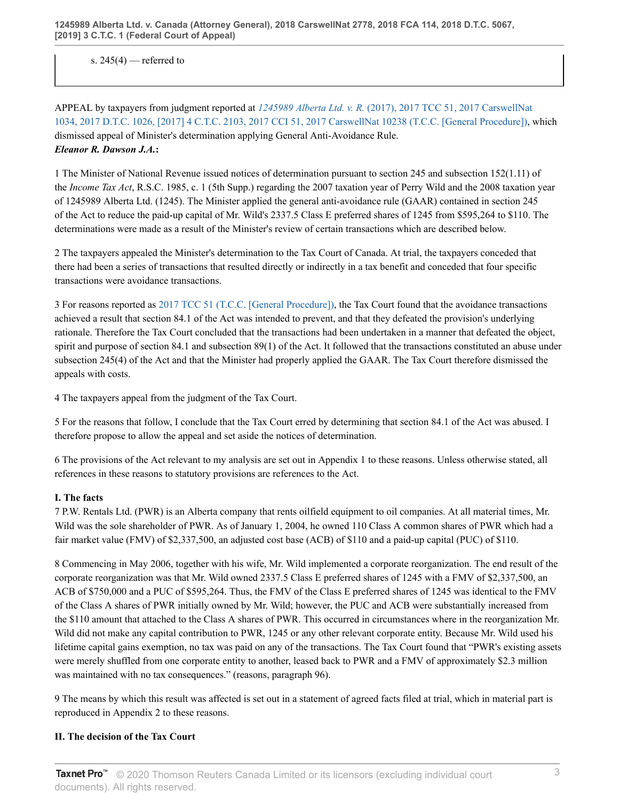s.  $245(4)$  — referred to

APPEAL by taxpayers from judgment reported at *1245989 Alberta Ltd. v. R.* [\(2017\), 2017 TCC 51, 2017 CarswellNat](http://v3.taxnetpro.com/Document/I4cd585f9f7c42576e0540021280d7cce/View/FullText.html?originationContext=document&vr=3.0&rs=cblt1.0&transitionType=DocumentItem&contextData=(sc.Search)) [1034, 2017 D.T.C. 1026, \[2017\] 4 C.T.C. 2103, 2017 CCI 51, 2017 CarswellNat 10238 \(T.C.C. \[General Procedure\]\),](http://v3.taxnetpro.com/Document/I4cd585f9f7c42576e0540021280d7cce/View/FullText.html?originationContext=document&vr=3.0&rs=cblt1.0&transitionType=DocumentItem&contextData=(sc.Search)) which dismissed appeal of Minister's determination applying General Anti-Avoidance Rule. *Eleanor R. Dawson J.A.***:**

1 The Minister of National Revenue issued notices of determination pursuant to section 245 and subsection 152(1.11) of the *Income Tax Act*, R.S.C. 1985, c. 1 (5th Supp.) regarding the 2007 taxation year of Perry Wild and the 2008 taxation year of 1245989 Alberta Ltd. (1245). The Minister applied the general anti-avoidance rule (GAAR) contained in section 245 of the Act to reduce the paid-up capital of Mr. Wild's 2337.5 Class E preferred shares of 1245 from \$595,264 to \$110. The determinations were made as a result of the Minister's review of certain transactions which are described below.

2 The taxpayers appealed the Minister's determination to the Tax Court of Canada. At trial, the taxpayers conceded that there had been a series of transactions that resulted directly or indirectly in a tax benefit and conceded that four specific transactions were avoidance transactions.

3 For reasons reported as [2017 TCC 51 \(T.C.C. \[General Procedure\]\),](http://v3.taxnetpro.com/Document/I4cd585f9f7c42576e0540021280d7cce/View/FullText.html?originationContext=document&vr=3.0&rs=cblt1.0&transitionType=DocumentItem&contextData=(sc.Search)) the Tax Court found that the avoidance transactions achieved a result that section 84.1 of the Act was intended to prevent, and that they defeated the provision's underlying rationale. Therefore the Tax Court concluded that the transactions had been undertaken in a manner that defeated the object, spirit and purpose of section 84.1 and subsection 89(1) of the Act. It followed that the transactions constituted an abuse under subsection 245(4) of the Act and that the Minister had properly applied the GAAR. The Tax Court therefore dismissed the appeals with costs.

4 The taxpayers appeal from the judgment of the Tax Court.

5 For the reasons that follow, I conclude that the Tax Court erred by determining that section 84.1 of the Act was abused. I therefore propose to allow the appeal and set aside the notices of determination.

6 The provisions of the Act relevant to my analysis are set out in Appendix 1 to these reasons. Unless otherwise stated, all references in these reasons to statutory provisions are references to the Act.

## **I. The facts**

7 P.W. Rentals Ltd. (PWR) is an Alberta company that rents oilfield equipment to oil companies. At all material times, Mr. Wild was the sole shareholder of PWR. As of January 1, 2004, he owned 110 Class A common shares of PWR which had a fair market value (FMV) of \$2,337,500, an adjusted cost base (ACB) of \$110 and a paid-up capital (PUC) of \$110.

8 Commencing in May 2006, together with his wife, Mr. Wild implemented a corporate reorganization. The end result of the corporate reorganization was that Mr. Wild owned 2337.5 Class E preferred shares of 1245 with a FMV of \$2,337,500, an ACB of \$750,000 and a PUC of \$595,264. Thus, the FMV of the Class E preferred shares of 1245 was identical to the FMV of the Class A shares of PWR initially owned by Mr. Wild; however, the PUC and ACB were substantially increased from the \$110 amount that attached to the Class A shares of PWR. This occurred in circumstances where in the reorganization Mr. Wild did not make any capital contribution to PWR, 1245 or any other relevant corporate entity. Because Mr. Wild used his lifetime capital gains exemption, no tax was paid on any of the transactions. The Tax Court found that "PWR's existing assets were merely shuffled from one corporate entity to another, leased back to PWR and a FMV of approximately \$2.3 million was maintained with no tax consequences." (reasons, paragraph 96).

9 The means by which this result was affected is set out in a statement of agreed facts filed at trial, which in material part is reproduced in Appendix 2 to these reasons.

### **II. The decision of the Tax Court**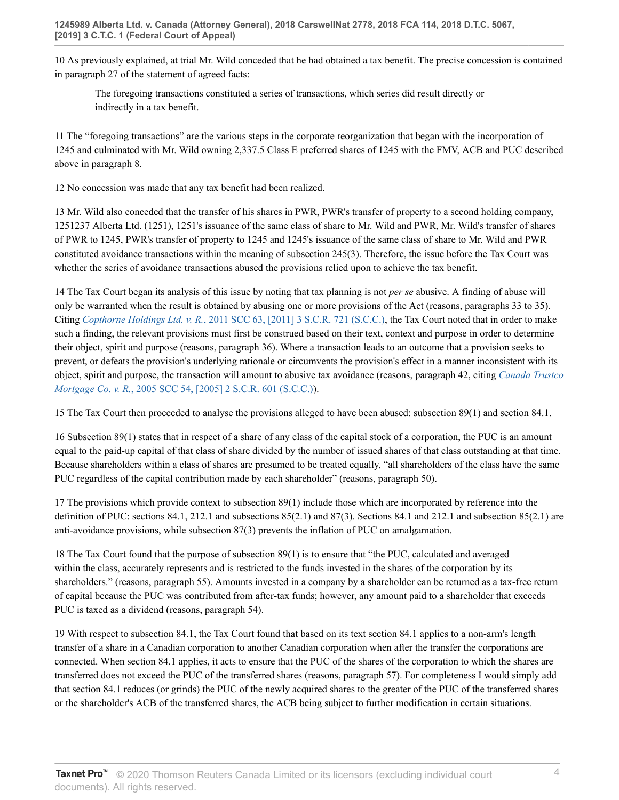10 As previously explained, at trial Mr. Wild conceded that he had obtained a tax benefit. The precise concession is contained in paragraph 27 of the statement of agreed facts:

The foregoing transactions constituted a series of transactions, which series did result directly or indirectly in a tax benefit.

11 The "foregoing transactions" are the various steps in the corporate reorganization that began with the incorporation of 1245 and culminated with Mr. Wild owning 2,337.5 Class E preferred shares of 1245 with the FMV, ACB and PUC described above in paragraph 8.

12 No concession was made that any tax benefit had been realized.

13 Mr. Wild also conceded that the transfer of his shares in PWR, PWR's transfer of property to a second holding company, 1251237 Alberta Ltd. (1251), 1251's issuance of the same class of share to Mr. Wild and PWR, Mr. Wild's transfer of shares of PWR to 1245, PWR's transfer of property to 1245 and 1245's issuance of the same class of share to Mr. Wild and PWR constituted avoidance transactions within the meaning of subsection 245(3). Therefore, the issue before the Tax Court was whether the series of avoidance transactions abused the provisions relied upon to achieve the tax benefit.

14 The Tax Court began its analysis of this issue by noting that tax planning is not *per se* abusive. A finding of abuse will only be warranted when the result is obtained by abusing one or more provisions of the Act (reasons, paragraphs 33 to 35). Citing *Copthorne Holdings Ltd. v. R.*[, 2011 SCC 63, \[2011\] 3 S.C.R. 721 \(S.C.C.\),](http://v3.taxnetpro.com/Document/Ib6468171105f07f8e0440021280d79ee/View/FullText.html?originationContext=document&vr=3.0&rs=cblt1.0&transitionType=DocumentItem&contextData=(sc.Search)) the Tax Court noted that in order to make such a finding, the relevant provisions must first be construed based on their text, context and purpose in order to determine their object, spirit and purpose (reasons, paragraph 36). Where a transaction leads to an outcome that a provision seeks to prevent, or defeats the provision's underlying rationale or circumvents the provision's effect in a manner inconsistent with its object, spirit and purpose, the transaction will amount to abusive tax avoidance (reasons, paragraph 42, citing *[Canada Trustco](http://v3.taxnetpro.com/Document/I8d7d939394245dece0440003ba833f85/View/FullText.html?originationContext=document&vr=3.0&rs=cblt1.0&transitionType=DocumentItem&contextData=(sc.Search)) Mortgage Co. v. R.*[, 2005 SCC 54, \[2005\] 2 S.C.R. 601 \(S.C.C.\)\)](http://v3.taxnetpro.com/Document/I8d7d939394245dece0440003ba833f85/View/FullText.html?originationContext=document&vr=3.0&rs=cblt1.0&transitionType=DocumentItem&contextData=(sc.Search)).

15 The Tax Court then proceeded to analyse the provisions alleged to have been abused: subsection 89(1) and section 84.1.

16 Subsection 89(1) states that in respect of a share of any class of the capital stock of a corporation, the PUC is an amount equal to the paid-up capital of that class of share divided by the number of issued shares of that class outstanding at that time. Because shareholders within a class of shares are presumed to be treated equally, "all shareholders of the class have the same PUC regardless of the capital contribution made by each shareholder" (reasons, paragraph 50).

17 The provisions which provide context to subsection 89(1) include those which are incorporated by reference into the definition of PUC: sections 84.1, 212.1 and subsections  $85(2.1)$  and  $87(3)$ . Sections 84.1 and 212.1 and subsection  $85(2.1)$  are anti-avoidance provisions, while subsection 87(3) prevents the inflation of PUC on amalgamation.

18 The Tax Court found that the purpose of subsection 89(1) is to ensure that "the PUC, calculated and averaged within the class, accurately represents and is restricted to the funds invested in the shares of the corporation by its shareholders." (reasons, paragraph 55). Amounts invested in a company by a shareholder can be returned as a tax-free return of capital because the PUC was contributed from after-tax funds; however, any amount paid to a shareholder that exceeds PUC is taxed as a dividend (reasons, paragraph 54).

19 With respect to subsection 84.1, the Tax Court found that based on its text section 84.1 applies to a non-arm's length transfer of a share in a Canadian corporation to another Canadian corporation when after the transfer the corporations are connected. When section 84.1 applies, it acts to ensure that the PUC of the shares of the corporation to which the shares are transferred does not exceed the PUC of the transferred shares (reasons, paragraph 57). For completeness I would simply add that section 84.1 reduces (or grinds) the PUC of the newly acquired shares to the greater of the PUC of the transferred shares or the shareholder's ACB of the transferred shares, the ACB being subject to further modification in certain situations.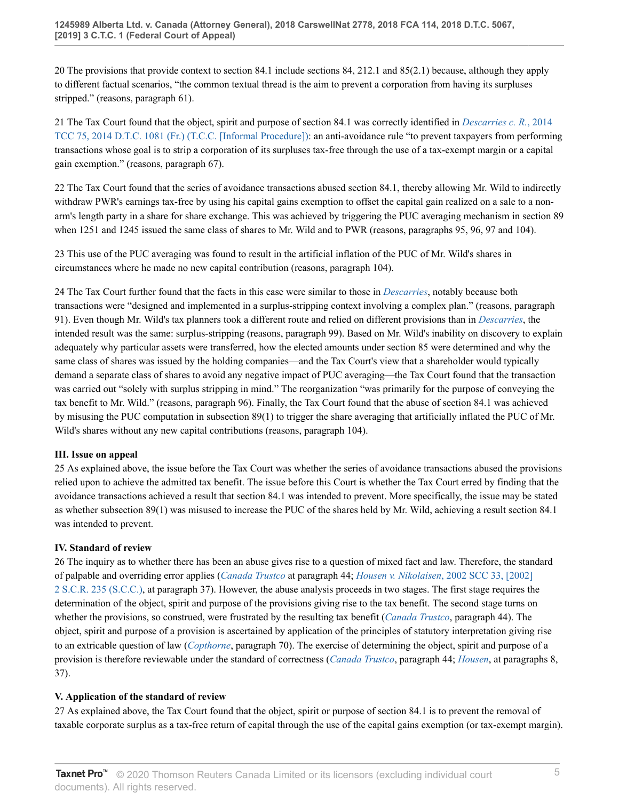20 The provisions that provide context to section 84.1 include sections 84, 212.1 and 85(2.1) because, although they apply to different factual scenarios, "the common textual thread is the aim to prevent a corporation from having its surpluses stripped." (reasons, paragraph 61).

21 The Tax Court found that the object, spirit and purpose of section 84.1 was correctly identified in *[Descarries c. R.](http://v3.taxnetpro.com/Document/Ifc466bf567e047d7e0440021280d79ee/View/FullText.html?originationContext=document&vr=3.0&rs=cblt1.0&transitionType=DocumentItem&contextData=(sc.Search))*, 2014 [TCC 75, 2014 D.T.C. 1081 \(Fr.\) \(T.C.C. \[Informal Procedure\]\)](http://v3.taxnetpro.com/Document/Ifc466bf567e047d7e0440021280d79ee/View/FullText.html?originationContext=document&vr=3.0&rs=cblt1.0&transitionType=DocumentItem&contextData=(sc.Search)): an anti-avoidance rule "to prevent taxpayers from performing transactions whose goal is to strip a corporation of its surpluses tax-free through the use of a tax-exempt margin or a capital gain exemption." (reasons, paragraph 67).

22 The Tax Court found that the series of avoidance transactions abused section 84.1, thereby allowing Mr. Wild to indirectly withdraw PWR's earnings tax-free by using his capital gains exemption to offset the capital gain realized on a sale to a nonarm's length party in a share for share exchange. This was achieved by triggering the PUC averaging mechanism in section 89 when 1251 and 1245 issued the same class of shares to Mr. Wild and to PWR (reasons, paragraphs 95, 96, 97 and 104).

23 This use of the PUC averaging was found to result in the artificial inflation of the PUC of Mr. Wild's shares in circumstances where he made no new capital contribution (reasons, paragraph 104).

24 The Tax Court further found that the facts in this case were similar to those in *[Descarries](http://v3.taxnetpro.com/Document/Ifc466bf567e047d7e0440021280d79ee/View/FullText.html?originationContext=document&vr=3.0&rs=cblt1.0&transitionType=DocumentItem&contextData=(sc.Search))*, notably because both transactions were "designed and implemented in a surplus-stripping context involving a complex plan." (reasons, paragraph 91). Even though Mr. Wild's tax planners took a different route and relied on different provisions than in *[Descarries](http://v3.taxnetpro.com/Document/Ifc466bf567e047d7e0440021280d79ee/View/FullText.html?originationContext=document&vr=3.0&rs=cblt1.0&transitionType=DocumentItem&contextData=(sc.Search))*, the intended result was the same: surplus-stripping (reasons, paragraph 99). Based on Mr. Wild's inability on discovery to explain adequately why particular assets were transferred, how the elected amounts under section 85 were determined and why the same class of shares was issued by the holding companies—and the Tax Court's view that a shareholder would typically demand a separate class of shares to avoid any negative impact of PUC averaging—the Tax Court found that the transaction was carried out "solely with surplus stripping in mind." The reorganization "was primarily for the purpose of conveying the tax benefit to Mr. Wild." (reasons, paragraph 96). Finally, the Tax Court found that the abuse of section 84.1 was achieved by misusing the PUC computation in subsection 89(1) to trigger the share averaging that artificially inflated the PUC of Mr. Wild's shares without any new capital contributions (reasons, paragraph 104).

## **III. Issue on appeal**

25 As explained above, the issue before the Tax Court was whether the series of avoidance transactions abused the provisions relied upon to achieve the admitted tax benefit. The issue before this Court is whether the Tax Court erred by finding that the avoidance transactions achieved a result that section 84.1 was intended to prevent. More specifically, the issue may be stated as whether subsection 89(1) was misused to increase the PUC of the shares held by Mr. Wild, achieving a result section 84.1 was intended to prevent.

## **IV. Standard of review**

26 The inquiry as to whether there has been an abuse gives rise to a question of mixed fact and law. Therefore, the standard of palpable and overriding error applies (*[Canada Trustco](http://v3.taxnetpro.com/Document/I8d7d939394245dece0440003ba833f85/View/FullText.html?originationContext=document&vr=3.0&rs=cblt1.0&transitionType=DocumentItem&contextData=(sc.Search))* at paragraph 44; *Housen v. Nikolaisen*[, 2002 SCC 33, \[2002\]](http://v3.taxnetpro.com/Document/I17a3d4299a0372cbe0540021280d79ee/View/FullText.html?originationContext=document&vr=3.0&rs=cblt1.0&transitionType=DocumentItem&contextData=(sc.Search)) [2 S.C.R. 235 \(S.C.C.\),](http://v3.taxnetpro.com/Document/I17a3d4299a0372cbe0540021280d79ee/View/FullText.html?originationContext=document&vr=3.0&rs=cblt1.0&transitionType=DocumentItem&contextData=(sc.Search)) at paragraph 37). However, the abuse analysis proceeds in two stages. The first stage requires the determination of the object, spirit and purpose of the provisions giving rise to the tax benefit. The second stage turns on whether the provisions, so construed, were frustrated by the resulting tax benefit (*[Canada Trustco](http://v3.taxnetpro.com/Document/I8d7d939394245dece0440003ba833f85/View/FullText.html?originationContext=document&vr=3.0&rs=cblt1.0&transitionType=DocumentItem&contextData=(sc.Search))*, paragraph 44). The object, spirit and purpose of a provision is ascertained by application of the principles of statutory interpretation giving rise to an extricable question of law (*[Copthorne](http://v3.taxnetpro.com/Document/Ib6468171105f07f8e0440021280d79ee/View/FullText.html?originationContext=document&vr=3.0&rs=cblt1.0&transitionType=DocumentItem&contextData=(sc.Search))*, paragraph 70). The exercise of determining the object, spirit and purpose of a provision is therefore reviewable under the standard of correctness (*[Canada Trustco](http://v3.taxnetpro.com/Document/I8d7d939394245dece0440003ba833f85/View/FullText.html?originationContext=document&vr=3.0&rs=cblt1.0&transitionType=DocumentItem&contextData=(sc.Search))*, paragraph 44; *[Housen](http://v3.taxnetpro.com/Document/I17a3d4299a0372cbe0540021280d79ee/View/FullText.html?originationContext=document&vr=3.0&rs=cblt1.0&transitionType=DocumentItem&contextData=(sc.Search))*, at paragraphs 8, 37).

## **V. Application of the standard of review**

27 As explained above, the Tax Court found that the object, spirit or purpose of section 84.1 is to prevent the removal of taxable corporate surplus as a tax-free return of capital through the use of the capital gains exemption (or tax-exempt margin).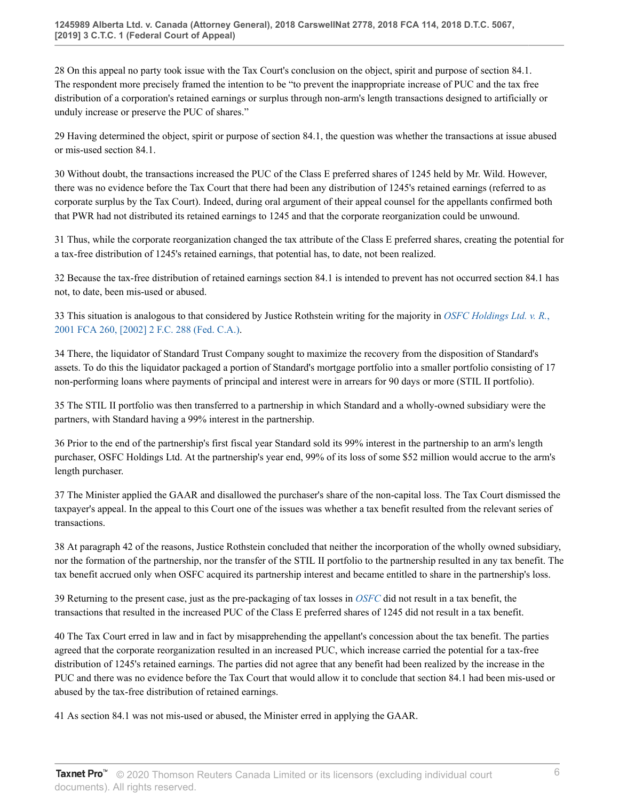28 On this appeal no party took issue with the Tax Court's conclusion on the object, spirit and purpose of section 84.1. The respondent more precisely framed the intention to be "to prevent the inappropriate increase of PUC and the tax free distribution of a corporation's retained earnings or surplus through non-arm's length transactions designed to artificially or unduly increase or preserve the PUC of shares."

29 Having determined the object, spirit or purpose of section 84.1, the question was whether the transactions at issue abused or mis-used section 84.1.

30 Without doubt, the transactions increased the PUC of the Class E preferred shares of 1245 held by Mr. Wild. However, there was no evidence before the Tax Court that there had been any distribution of 1245's retained earnings (referred to as corporate surplus by the Tax Court). Indeed, during oral argument of their appeal counsel for the appellants confirmed both that PWR had not distributed its retained earnings to 1245 and that the corporate reorganization could be unwound.

31 Thus, while the corporate reorganization changed the tax attribute of the Class E preferred shares, creating the potential for a tax-free distribution of 1245's retained earnings, that potential has, to date, not been realized.

32 Because the tax-free distribution of retained earnings section 84.1 is intended to prevent has not occurred section 84.1 has not, to date, been mis-used or abused.

33 This situation is analogous to that considered by Justice Rothstein writing for the majority in *[OSFC Holdings Ltd. v. R.](http://v3.taxnetpro.com/Document/I8d7d9393e22e5dece0440003ba833f85/View/FullText.html?originationContext=document&vr=3.0&rs=cblt1.0&transitionType=DocumentItem&contextData=(sc.Search))*, [2001 FCA 260, \[2002\] 2 F.C. 288 \(Fed. C.A.\)](http://v3.taxnetpro.com/Document/I8d7d9393e22e5dece0440003ba833f85/View/FullText.html?originationContext=document&vr=3.0&rs=cblt1.0&transitionType=DocumentItem&contextData=(sc.Search)).

34 There, the liquidator of Standard Trust Company sought to maximize the recovery from the disposition of Standard's assets. To do this the liquidator packaged a portion of Standard's mortgage portfolio into a smaller portfolio consisting of 17 non-performing loans where payments of principal and interest were in arrears for 90 days or more (STIL II portfolio).

35 The STIL II portfolio was then transferred to a partnership in which Standard and a wholly-owned subsidiary were the partners, with Standard having a 99% interest in the partnership.

36 Prior to the end of the partnership's first fiscal year Standard sold its 99% interest in the partnership to an arm's length purchaser, OSFC Holdings Ltd. At the partnership's year end, 99% of its loss of some \$52 million would accrue to the arm's length purchaser.

37 The Minister applied the GAAR and disallowed the purchaser's share of the non-capital loss. The Tax Court dismissed the taxpayer's appeal. In the appeal to this Court one of the issues was whether a tax benefit resulted from the relevant series of transactions.

38 At paragraph 42 of the reasons, Justice Rothstein concluded that neither the incorporation of the wholly owned subsidiary, nor the formation of the partnership, nor the transfer of the STIL II portfolio to the partnership resulted in any tax benefit. The tax benefit accrued only when OSFC acquired its partnership interest and became entitled to share in the partnership's loss.

39 Returning to the present case, just as the pre-packaging of tax losses in *[OSFC](http://v3.taxnetpro.com/Document/I8d7d9393e22e5dece0440003ba833f85/View/FullText.html?originationContext=document&vr=3.0&rs=cblt1.0&transitionType=DocumentItem&contextData=(sc.Search))* did not result in a tax benefit, the transactions that resulted in the increased PUC of the Class E preferred shares of 1245 did not result in a tax benefit.

40 The Tax Court erred in law and in fact by misapprehending the appellant's concession about the tax benefit. The parties agreed that the corporate reorganization resulted in an increased PUC, which increase carried the potential for a tax-free distribution of 1245's retained earnings. The parties did not agree that any benefit had been realized by the increase in the PUC and there was no evidence before the Tax Court that would allow it to conclude that section 84.1 had been mis-used or abused by the tax-free distribution of retained earnings.

41 As section 84.1 was not mis-used or abused, the Minister erred in applying the GAAR.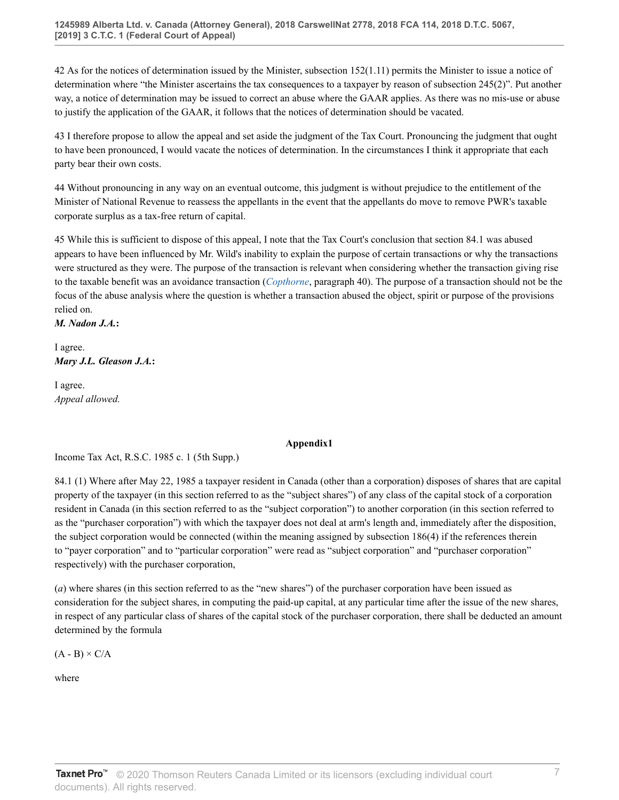42 As for the notices of determination issued by the Minister, subsection 152(1.11) permits the Minister to issue a notice of determination where "the Minister ascertains the tax consequences to a taxpayer by reason of subsection 245(2)". Put another way, a notice of determination may be issued to correct an abuse where the GAAR applies. As there was no mis-use or abuse to justify the application of the GAAR, it follows that the notices of determination should be vacated.

43 I therefore propose to allow the appeal and set aside the judgment of the Tax Court. Pronouncing the judgment that ought to have been pronounced, I would vacate the notices of determination. In the circumstances I think it appropriate that each party bear their own costs.

44 Without pronouncing in any way on an eventual outcome, this judgment is without prejudice to the entitlement of the Minister of National Revenue to reassess the appellants in the event that the appellants do move to remove PWR's taxable corporate surplus as a tax-free return of capital.

45 While this is sufficient to dispose of this appeal, I note that the Tax Court's conclusion that section 84.1 was abused appears to have been influenced by Mr. Wild's inability to explain the purpose of certain transactions or why the transactions were structured as they were. The purpose of the transaction is relevant when considering whether the transaction giving rise to the taxable benefit was an avoidance transaction (*[Copthorne](http://v3.taxnetpro.com/Document/Ib6468171105f07f8e0440021280d79ee/View/FullText.html?originationContext=document&vr=3.0&rs=cblt1.0&transitionType=DocumentItem&contextData=(sc.Search))*, paragraph 40). The purpose of a transaction should not be the focus of the abuse analysis where the question is whether a transaction abused the object, spirit or purpose of the provisions relied on.

*M. Nadon J.A.***:**

I agree. *Mary J.L. Gleason J.A.***:**

I agree. *Appeal allowed.*

#### **Appendix1**

Income Tax Act, R.S.C. 1985 c. 1 (5th Supp.)

84.1 (1) Where after May 22, 1985 a taxpayer resident in Canada (other than a corporation) disposes of shares that are capital property of the taxpayer (in this section referred to as the "subject shares") of any class of the capital stock of a corporation resident in Canada (in this section referred to as the "subject corporation") to another corporation (in this section referred to as the "purchaser corporation") with which the taxpayer does not deal at arm's length and, immediately after the disposition, the subject corporation would be connected (within the meaning assigned by subsection 186(4) if the references therein to "payer corporation" and to "particular corporation" were read as "subject corporation" and "purchaser corporation" respectively) with the purchaser corporation,

(*a*) where shares (in this section referred to as the "new shares") of the purchaser corporation have been issued as consideration for the subject shares, in computing the paid-up capital, at any particular time after the issue of the new shares, in respect of any particular class of shares of the capital stock of the purchaser corporation, there shall be deducted an amount determined by the formula

 $(A - B) \times C/A$ 

where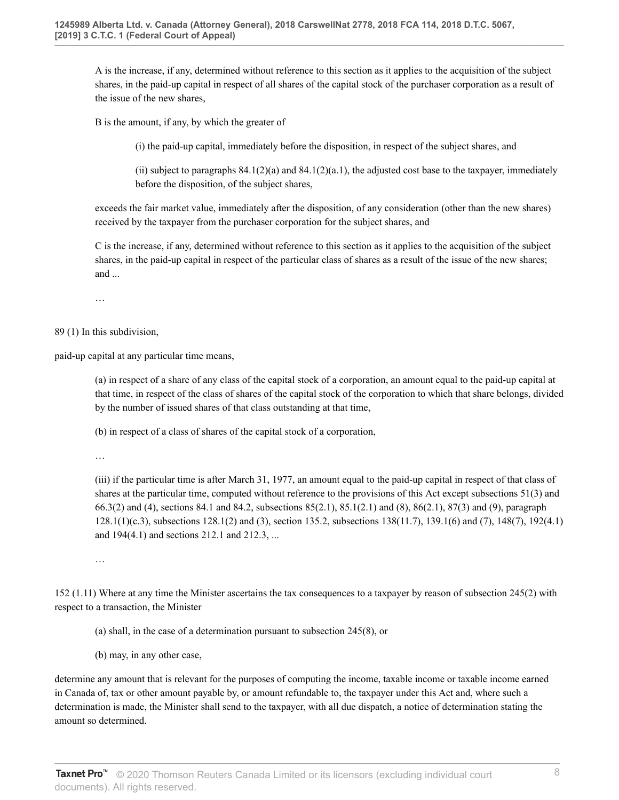A is the increase, if any, determined without reference to this section as it applies to the acquisition of the subject shares, in the paid-up capital in respect of all shares of the capital stock of the purchaser corporation as a result of the issue of the new shares,

B is the amount, if any, by which the greater of

(i) the paid-up capital, immediately before the disposition, in respect of the subject shares, and

(ii) subject to paragraphs  $84.1(2)(a)$  and  $84.1(2)(a.1)$ , the adjusted cost base to the taxpayer, immediately before the disposition, of the subject shares,

exceeds the fair market value, immediately after the disposition, of any consideration (other than the new shares) received by the taxpayer from the purchaser corporation for the subject shares, and

C is the increase, if any, determined without reference to this section as it applies to the acquisition of the subject shares, in the paid-up capital in respect of the particular class of shares as a result of the issue of the new shares; and ...

…

89 (1) In this subdivision,

paid-up capital at any particular time means,

(a) in respect of a share of any class of the capital stock of a corporation, an amount equal to the paid-up capital at that time, in respect of the class of shares of the capital stock of the corporation to which that share belongs, divided by the number of issued shares of that class outstanding at that time,

(b) in respect of a class of shares of the capital stock of a corporation,

…

(iii) if the particular time is after March 31, 1977, an amount equal to the paid-up capital in respect of that class of shares at the particular time, computed without reference to the provisions of this Act except subsections 51(3) and 66.3(2) and (4), sections 84.1 and 84.2, subsections 85(2.1), 85.1(2.1) and (8), 86(2.1), 87(3) and (9), paragraph 128.1(1)(c.3), subsections 128.1(2) and (3), section 135.2, subsections 138(11.7), 139.1(6) and (7), 148(7), 192(4.1) and 194(4.1) and sections 212.1 and 212.3, ...

…

152 (1.11) Where at any time the Minister ascertains the tax consequences to a taxpayer by reason of subsection 245(2) with respect to a transaction, the Minister

(a) shall, in the case of a determination pursuant to subsection 245(8), or

(b) may, in any other case,

determine any amount that is relevant for the purposes of computing the income, taxable income or taxable income earned in Canada of, tax or other amount payable by, or amount refundable to, the taxpayer under this Act and, where such a determination is made, the Minister shall send to the taxpayer, with all due dispatch, a notice of determination stating the amount so determined.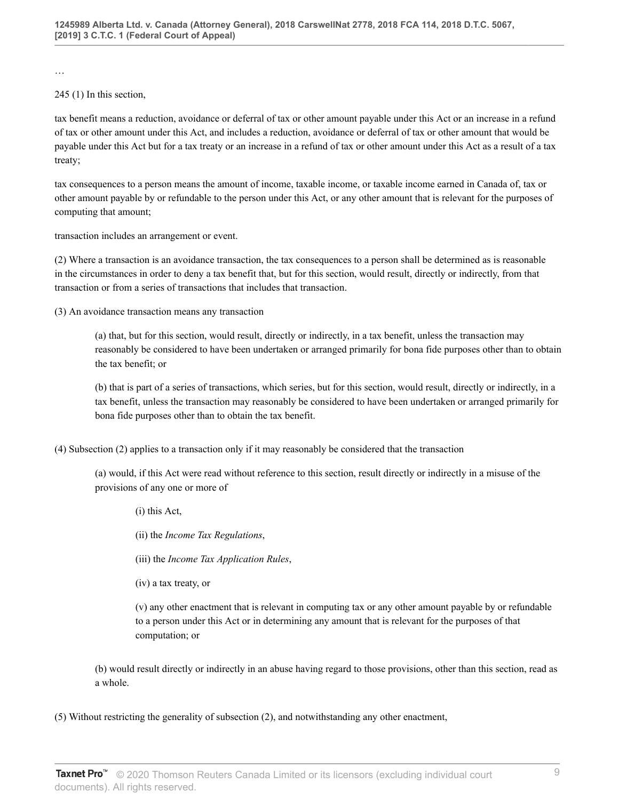…

### 245 (1) In this section,

tax benefit means a reduction, avoidance or deferral of tax or other amount payable under this Act or an increase in a refund of tax or other amount under this Act, and includes a reduction, avoidance or deferral of tax or other amount that would be payable under this Act but for a tax treaty or an increase in a refund of tax or other amount under this Act as a result of a tax treaty;

tax consequences to a person means the amount of income, taxable income, or taxable income earned in Canada of, tax or other amount payable by or refundable to the person under this Act, or any other amount that is relevant for the purposes of computing that amount;

transaction includes an arrangement or event.

(2) Where a transaction is an avoidance transaction, the tax consequences to a person shall be determined as is reasonable in the circumstances in order to deny a tax benefit that, but for this section, would result, directly or indirectly, from that transaction or from a series of transactions that includes that transaction.

(3) An avoidance transaction means any transaction

(a) that, but for this section, would result, directly or indirectly, in a tax benefit, unless the transaction may reasonably be considered to have been undertaken or arranged primarily for bona fide purposes other than to obtain the tax benefit; or

(b) that is part of a series of transactions, which series, but for this section, would result, directly or indirectly, in a tax benefit, unless the transaction may reasonably be considered to have been undertaken or arranged primarily for bona fide purposes other than to obtain the tax benefit.

(4) Subsection (2) applies to a transaction only if it may reasonably be considered that the transaction

(a) would, if this Act were read without reference to this section, result directly or indirectly in a misuse of the provisions of any one or more of

(i) this Act,

(ii) the *Income Tax Regulations*,

(iii) the *Income Tax Application Rules*,

(iv) a tax treaty, or

(v) any other enactment that is relevant in computing tax or any other amount payable by or refundable to a person under this Act or in determining any amount that is relevant for the purposes of that computation; or

(b) would result directly or indirectly in an abuse having regard to those provisions, other than this section, read as a whole.

(5) Without restricting the generality of subsection (2), and notwithstanding any other enactment,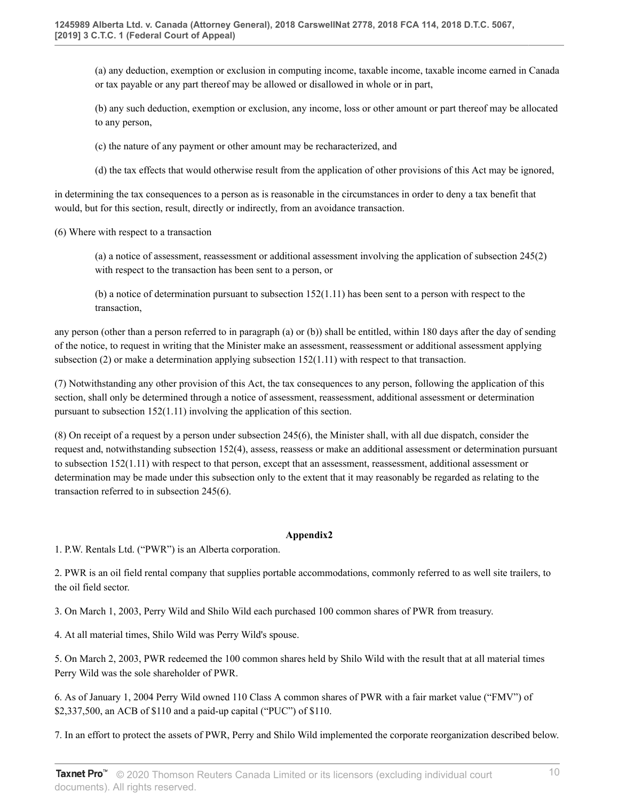(a) any deduction, exemption or exclusion in computing income, taxable income, taxable income earned in Canada or tax payable or any part thereof may be allowed or disallowed in whole or in part,

(b) any such deduction, exemption or exclusion, any income, loss or other amount or part thereof may be allocated to any person,

(c) the nature of any payment or other amount may be recharacterized, and

(d) the tax effects that would otherwise result from the application of other provisions of this Act may be ignored,

in determining the tax consequences to a person as is reasonable in the circumstances in order to deny a tax benefit that would, but for this section, result, directly or indirectly, from an avoidance transaction.

(6) Where with respect to a transaction

(a) a notice of assessment, reassessment or additional assessment involving the application of subsection 245(2) with respect to the transaction has been sent to a person, or

(b) a notice of determination pursuant to subsection 152(1.11) has been sent to a person with respect to the transaction,

any person (other than a person referred to in paragraph (a) or (b)) shall be entitled, within 180 days after the day of sending of the notice, to request in writing that the Minister make an assessment, reassessment or additional assessment applying subsection (2) or make a determination applying subsection 152(1.11) with respect to that transaction.

(7) Notwithstanding any other provision of this Act, the tax consequences to any person, following the application of this section, shall only be determined through a notice of assessment, reassessment, additional assessment or determination pursuant to subsection 152(1.11) involving the application of this section.

(8) On receipt of a request by a person under subsection 245(6), the Minister shall, with all due dispatch, consider the request and, notwithstanding subsection 152(4), assess, reassess or make an additional assessment or determination pursuant to subsection 152(1.11) with respect to that person, except that an assessment, reassessment, additional assessment or determination may be made under this subsection only to the extent that it may reasonably be regarded as relating to the transaction referred to in subsection 245(6).

#### **Appendix2**

1. P.W. Rentals Ltd. ("PWR") is an Alberta corporation.

2. PWR is an oil field rental company that supplies portable accommodations, commonly referred to as well site trailers, to the oil field sector.

3. On March 1, 2003, Perry Wild and Shilo Wild each purchased 100 common shares of PWR from treasury.

4. At all material times, Shilo Wild was Perry Wild's spouse.

5. On March 2, 2003, PWR redeemed the 100 common shares held by Shilo Wild with the result that at all material times Perry Wild was the sole shareholder of PWR.

6. As of January 1, 2004 Perry Wild owned 110 Class A common shares of PWR with a fair market value ("FMV") of \$2,337,500, an ACB of \$110 and a paid-up capital ("PUC") of \$110.

7. In an effort to protect the assets of PWR, Perry and Shilo Wild implemented the corporate reorganization described below.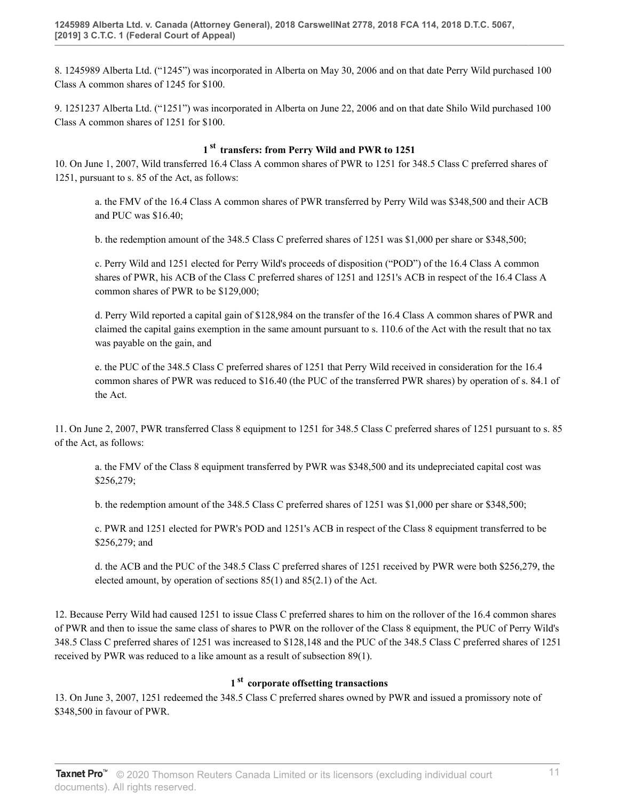8. 1245989 Alberta Ltd. ("1245") was incorporated in Alberta on May 30, 2006 and on that date Perry Wild purchased 100 Class A common shares of 1245 for \$100.

9. 1251237 Alberta Ltd. ("1251") was incorporated in Alberta on June 22, 2006 and on that date Shilo Wild purchased 100 Class A common shares of 1251 for \$100.

## **1 st transfers: from Perry Wild and PWR to 1251**

10. On June 1, 2007, Wild transferred 16.4 Class A common shares of PWR to 1251 for 348.5 Class C preferred shares of 1251, pursuant to s. 85 of the Act, as follows:

a. the FMV of the 16.4 Class A common shares of PWR transferred by Perry Wild was \$348,500 and their ACB and PUC was \$16.40;

b. the redemption amount of the 348.5 Class C preferred shares of 1251 was \$1,000 per share or \$348,500;

c. Perry Wild and 1251 elected for Perry Wild's proceeds of disposition ("POD") of the 16.4 Class A common shares of PWR, his ACB of the Class C preferred shares of 1251 and 1251's ACB in respect of the 16.4 Class A common shares of PWR to be \$129,000;

d. Perry Wild reported a capital gain of \$128,984 on the transfer of the 16.4 Class A common shares of PWR and claimed the capital gains exemption in the same amount pursuant to s. 110.6 of the Act with the result that no tax was payable on the gain, and

e. the PUC of the 348.5 Class C preferred shares of 1251 that Perry Wild received in consideration for the 16.4 common shares of PWR was reduced to \$16.40 (the PUC of the transferred PWR shares) by operation of s. 84.1 of the Act.

11. On June 2, 2007, PWR transferred Class 8 equipment to 1251 for 348.5 Class C preferred shares of 1251 pursuant to s. 85 of the Act, as follows:

a. the FMV of the Class 8 equipment transferred by PWR was \$348,500 and its undepreciated capital cost was \$256,279;

b. the redemption amount of the 348.5 Class C preferred shares of 1251 was \$1,000 per share or \$348,500;

c. PWR and 1251 elected for PWR's POD and 1251's ACB in respect of the Class 8 equipment transferred to be \$256,279; and

d. the ACB and the PUC of the 348.5 Class C preferred shares of 1251 received by PWR were both \$256,279, the elected amount, by operation of sections 85(1) and 85(2.1) of the Act.

12. Because Perry Wild had caused 1251 to issue Class C preferred shares to him on the rollover of the 16.4 common shares of PWR and then to issue the same class of shares to PWR on the rollover of the Class 8 equipment, the PUC of Perry Wild's 348.5 Class C preferred shares of 1251 was increased to \$128,148 and the PUC of the 348.5 Class C preferred shares of 1251 received by PWR was reduced to a like amount as a result of subsection 89(1).

# **1 st corporate offsetting transactions**

13. On June 3, 2007, 1251 redeemed the 348.5 Class C preferred shares owned by PWR and issued a promissory note of \$348,500 in favour of PWR.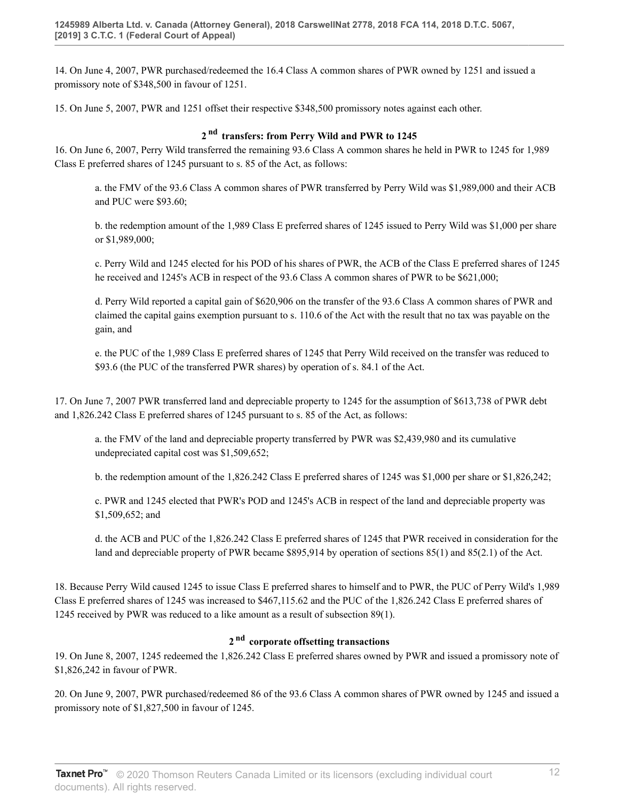14. On June 4, 2007, PWR purchased/redeemed the 16.4 Class A common shares of PWR owned by 1251 and issued a promissory note of \$348,500 in favour of 1251.

15. On June 5, 2007, PWR and 1251 offset their respective \$348,500 promissory notes against each other.

## **2 nd transfers: from Perry Wild and PWR to 1245**

16. On June 6, 2007, Perry Wild transferred the remaining 93.6 Class A common shares he held in PWR to 1245 for 1,989 Class E preferred shares of 1245 pursuant to s. 85 of the Act, as follows:

a. the FMV of the 93.6 Class A common shares of PWR transferred by Perry Wild was \$1,989,000 and their ACB and PUC were \$93.60;

b. the redemption amount of the 1,989 Class E preferred shares of 1245 issued to Perry Wild was \$1,000 per share or \$1,989,000;

c. Perry Wild and 1245 elected for his POD of his shares of PWR, the ACB of the Class E preferred shares of 1245 he received and 1245's ACB in respect of the 93.6 Class A common shares of PWR to be \$621,000;

d. Perry Wild reported a capital gain of \$620,906 on the transfer of the 93.6 Class A common shares of PWR and claimed the capital gains exemption pursuant to s. 110.6 of the Act with the result that no tax was payable on the gain, and

e. the PUC of the 1,989 Class E preferred shares of 1245 that Perry Wild received on the transfer was reduced to \$93.6 (the PUC of the transferred PWR shares) by operation of s. 84.1 of the Act.

17. On June 7, 2007 PWR transferred land and depreciable property to 1245 for the assumption of \$613,738 of PWR debt and 1,826.242 Class E preferred shares of 1245 pursuant to s. 85 of the Act, as follows:

a. the FMV of the land and depreciable property transferred by PWR was \$2,439,980 and its cumulative undepreciated capital cost was \$1,509,652;

b. the redemption amount of the 1,826.242 Class E preferred shares of 1245 was \$1,000 per share or \$1,826,242;

c. PWR and 1245 elected that PWR's POD and 1245's ACB in respect of the land and depreciable property was \$1,509,652; and

d. the ACB and PUC of the 1,826.242 Class E preferred shares of 1245 that PWR received in consideration for the land and depreciable property of PWR became \$895,914 by operation of sections 85(1) and 85(2.1) of the Act.

18. Because Perry Wild caused 1245 to issue Class E preferred shares to himself and to PWR, the PUC of Perry Wild's 1,989 Class E preferred shares of 1245 was increased to \$467,115.62 and the PUC of the 1,826.242 Class E preferred shares of 1245 received by PWR was reduced to a like amount as a result of subsection 89(1).

# **2 nd corporate offsetting transactions**

19. On June 8, 2007, 1245 redeemed the 1,826.242 Class E preferred shares owned by PWR and issued a promissory note of \$1,826,242 in favour of PWR.

20. On June 9, 2007, PWR purchased/redeemed 86 of the 93.6 Class A common shares of PWR owned by 1245 and issued a promissory note of \$1,827,500 in favour of 1245.